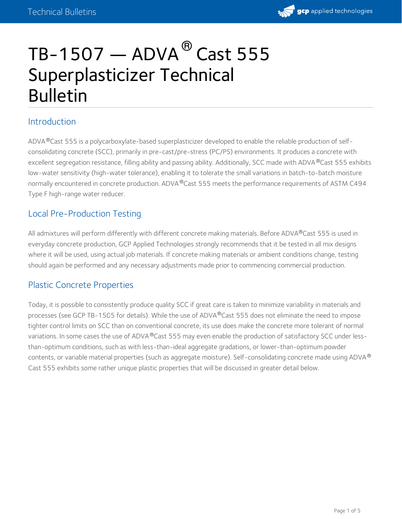

# $TB-1507$  — ADVA $^\circledR$  Cast 555 Superplasticizer Technical Bulletin

# Introduction

ADVA®Cast 555 is a polycarboxylate-based superplasticizer developed to enable the reliable production of selfconsolidating concrete (SCC), primarily in pre-cast/pre-stress (PC/PS) environments. It produces a concrete with excellent segregation resistance, filling ability and passing ability. Additionally, SCC made with ADVA®Cast 555 exhibits low-water sensitivity (high-water tolerance), enabling it to tolerate the small variations in batch-to-batch moisture normally encountered in concrete production. ADVA®Cast 555 meets the performance requirements of ASTM C494 Type F high-range water reducer.

# Local Pre-Production Testing

All admixtures will perform differently with different concrete making materials. Before ADVA®Cast 555 is used in everyday concrete production, GCP Applied Technologies strongly recommends that it be tested in all mix designs where it will be used, using actual job materials. If concrete making materials or ambient conditions change, testing should again be performed and any necessary adjustments made prior to commencing commercial production.

# Plastic Concrete Properties

Today, it is possible to consistently produce quality SCC if great care is taken to minimize variability in materials and processes (see GCP [TB-1505](https://gcpat.com/node/7386) for details). While the use of ADVA®Cast 555 does not eliminate the need to impose tighter control limits on SCC than on conventional concrete, its use does make the concrete more tolerant of normal variations. In some cases the use of ADVA®Cast 555 may even enable the production of satisfactory SCC under lessthan-optimum conditions, such as with less-than-ideal aggregate gradations, or lower-than-optimum powder contents, or variable material properties (such as aggregate moisture). Self-consolidating concrete made using ADVA® Cast 555 exhibits some rather unique plastic properties that will be discussed in greater detail below.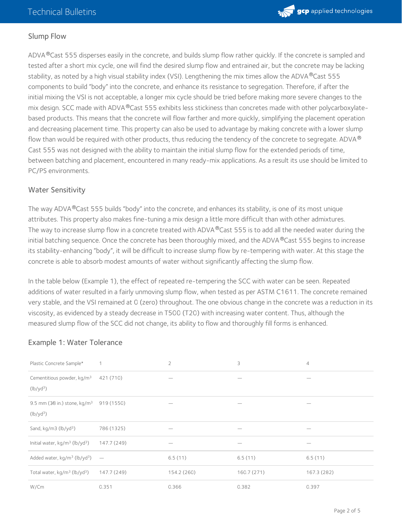

#### Slump Flow

ADVA®Cast 555 disperses easily in the concrete, and builds slump flow rather quickly. If the concrete is sampled and tested after a short mix cycle, one will find the desired slump flow and entrained air, but the concrete may be lacking stability, as noted by a high visual stability index (VSI). Lengthening the mix times allow the ADVA $^\circledR$ Cast 555 components to build "body" into the concrete, and enhance its resistance to segregation. Therefore, if after the initial mixing the VSI is not acceptable, a longer mix cycle should be tried before making more severe changes to the mix design. SCC made with ADVA®Cast 555 exhibits less stickiness than concretes made with other polycarboxylatebased products. This means that the concrete will flow farther and more quickly, simplifying the placement operation and decreasing placement time. This property can also be used to advantage by making concrete with a lower slump flow than would be required with other products, thus reducing the tendency of the concrete to segregate. ADVA  $^\circledR$ Cast 555 was not designed with the ability to maintain the initial slump flow for the extended periods of time, between batching and placement, encountered in many ready-mix applications. As a result its use should be limited to PC/PS environments.

#### Water Sensitivity

The way ADVA®Cast 555 builds "body" into the concrete, and enhances its stability, is one of its most unique attributes. This property also makes fine-tuning a mix design a little more difficult than with other admixtures. The way to increase slump flow in a concrete treated with ADVA  $^\circ$ Cast 555 is to add all the needed water during the initial batching sequence. Once the concrete has been thoroughly mixed, and the ADVA®Cast 555 begins to increase its stability-enhancing "body", it will be difficult to increase slump flow by re-tempering with water. At this stage the concrete is able to absorb modest amounts of water without significantly affecting the slump flow.

In the table below (Example 1), the effect of repeated re-tempering the SCC with water can be seen. Repeated additions of water resulted in a fairly unmoving slump flow, when tested as per ASTM C1611. The concrete remained very stable, and the VSI remained at 0 (zero) throughout. The one obvious change in the concrete was a reduction in its viscosity, as evidenced by a steady decrease in T500 (T20) with increasing water content. Thus, although the measured slump flow of the SCC did not change, its ability to flow and thoroughly fill forms is enhanced.

#### Example 1: Water Tolerance

| Plastic Concrete Sample*                               |                          | $\overline{2}$ | 3          | $\overline{4}$ |
|--------------------------------------------------------|--------------------------|----------------|------------|----------------|
| Cementitious powder, kg/m <sup>3</sup><br>$(lb/yd^3)$  | 421 (710)                |                |            |                |
| 9.5 mm (38 in.) stone, $kg/m3$<br>$(lb/yd^3)$          | 919 (1550)               |                |            |                |
| Sand, kg/m3 (lb/yd <sup>3</sup> )                      | 786 (1325)               |                |            |                |
| Initial water, kg/m <sup>3</sup> (lb/yd <sup>3</sup> ) | 147.7 (249)              |                |            |                |
| Added water, kg/m <sup>3</sup> (lb/yd <sup>3</sup> )   | $\overline{\phantom{a}}$ | 6.5(11)        | 6.5(11)    | 6.5(11)        |
| Total water, kg/m <sup>3</sup> (lb/yd <sup>3</sup> )   | 147.7 (249)              | 154.2 (260)    | 160.7(271) | 167.3 (282)    |
| W/Cm                                                   | 0.351                    | 0.366          | 0.382      | 0.397          |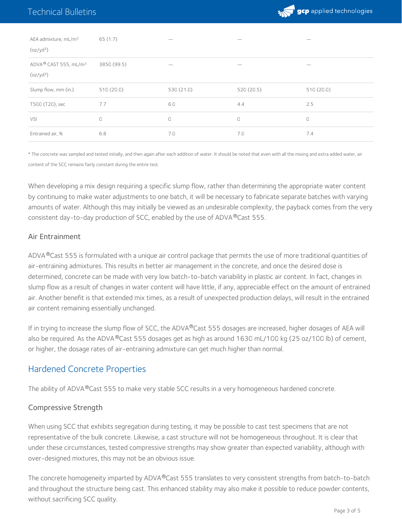

| AEA admixture, mL/m <sup>3</sup><br>(oz/yd <sup>3</sup> )  | 65 (1.7)    |            |           |           |
|------------------------------------------------------------|-------------|------------|-----------|-----------|
| ADVA® CAST 555, mL/m <sup>3</sup><br>(oz/yd <sup>3</sup> ) | 3850 (99.5) |            |           |           |
| Slump flow, mm (in.)                                       | 510(20.0)   | 530 (21.0) | 520(20.5) | 510(20.0) |
| T500 (T20), sec                                            | 7.7         | 6.0        | 4.4       | 2.5       |
| VSI                                                        | $\bigcirc$  | 0          | 0         | 0         |
| Entrained air, %                                           | 6.8         | 7.0        | 7.0       | 7.4       |

\* The concrete was sampled and tested initially, and then again after each addition of water. It should be noted that even with all the mixing and extra added water, air content of the SCC remains fairly constant during the entire test.

When developing a mix design requiring a specific slump flow, rather than determining the appropriate water content by continuing to make water adjustments to one batch, it will be necessary to fabricate separate batches with varying amounts of water. Although this may initially be viewed as an undesirable complexity, the payback comes from the very consistent day-to-day production of SCC, enabled by the use of ADVA®Cast 555.

#### Air Entrainment

ADVA®Cast 555 is formulated with a unique air control package that permits the use of more traditional quantities of air-entraining admixtures. This results in better air management in the concrete, and once the desired dose is determined, concrete can be made with very low batch-to-batch variability in plastic air content. In fact, changes in slump flow as a result of changes in water content will have little, if any, appreciable effect on the amount of entrained air. Another benefit is that extended mix times, as a result of unexpected production delays, will result in the entrained air content remaining essentially unchanged.

If in trying to increase the slump flow of SCC, the ADVA®Cast 555 dosages are increased, higher dosages of AEA will also be required. As the ADVA ®Cast 555 dosages get as high as around 1630 mL/100 kg (25 oz/100 lb) of cement, or higher, the dosage rates of air-entraining admixture can get much higher than normal.

# Hardened Concrete Properties

The ability of ADVA®Cast 555 to make very stable SCC results in a very homogeneous hardened concrete.

#### Compressive Strength

When using SCC that exhibits segregation during testing, it may be possible to cast test specimens that are not representative of the bulk concrete. Likewise, a cast structure will not be homogeneous throughout. It is clear that under these circumstances, tested compressive strengths may show greater than expected variability, although with over-designed mixtures, this may not be an obvious issue.

The concrete homogeneity imparted by ADVA®Cast 555 translates to very consistent strengths from batch-to-batch and throughout the structure being cast. This enhanced stability may also make it possible to reduce powder contents, without sacrificing SCC quality.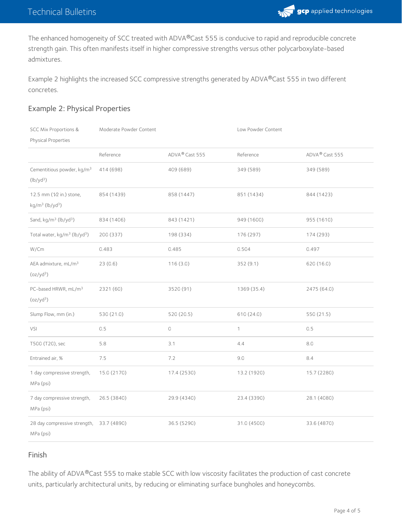

The enhanced homogeneity of SCC treated with ADVA®Cast 555 is conducive to rapid and reproducible concrete strength gain. This often manifests itself in higher compressive strengths versus other polycarboxylate-based admixtures.

Example 2 highlights the increased SCC compressive strengths generated by ADVA®Cast 555 in two different concretes.

### Example 2: Physical Properties

| <b>SCC Mix Proportions &amp;</b>                          | Moderate Powder Content |                            | Low Powder Content |                |
|-----------------------------------------------------------|-------------------------|----------------------------|--------------------|----------------|
| Physical Properties                                       |                         |                            |                    |                |
|                                                           | Reference               | ADVA <sup>®</sup> Cast 555 | Reference          | ADVA® Cast 555 |
| Cementitious powder, kg/m <sup>3</sup><br>$(lb/yd^3)$     | 414 (698)               | 409 (689)                  | 349 (589)          | 349 (589)      |
| 12.5 mm (1/2 in.) stone,<br>$kg/m3$ (lb/yd <sup>3</sup> ) | 854 (1439)              | 858 (1447)                 | 851 (1434)         | 844 (1423)     |
| Sand, kg/m <sup>3</sup> (lb/yd <sup>3</sup> )             | 834 (1406)              | 843 (1421)                 | 949 (1600)         | 955 (1610)     |
| Total water, kg/m <sup>3</sup> (lb/yd <sup>3</sup> )      | 200 (337)               | 198 (334)                  | 176 (297)          | 174 (293)      |
| W/Cm                                                      | 0.483                   | 0.485                      | 0.504              | 0.497          |
| AEA admixture, mL/m <sup>3</sup><br>(oz/yd <sup>3</sup> ) | 23(0.6)                 | 116(3.0)                   | 352(9.1)           | 620 (16.0)     |
| PC-based HRWR, mL/m <sup>3</sup><br>(oz/yd <sup>3</sup> ) | 2321 (60)               | 3520 (91)                  | 1369 (35.4)        | 2475 (64.0)    |
| Slump Flow, mm (in.)                                      | 530 (21.0)              | 520 (20.5)                 | 610 (24.0)         | 550 (21.5)     |
| <b>VSI</b>                                                | 0.5                     | $\mathbb O$                | $\mathbf{1}$       | 0.5            |
| T500 (T20), sec                                           | 5.8                     | 3.1                        | 4.4                | $8.0\,$        |
| Entrained air, %                                          | 7.5                     | 7.2                        | 9.0                | 8.4            |
| 1 day compressive strength,<br>MPa (psi)                  | 15.0 (2170)             | 17.4 (2530)                | 13.2 (1920)        | 15.7 (2280)    |
| 7 day compressive strength,<br>MPa (psi)                  | 26.5 (3840)             | 29.9 (4340)                | 23.4 (3390)        | 28.1 (4080)    |
| 28 day compressive strength,<br>MPa (psi)                 | 33.7 (4890)             | 36.5 (5290)                | 31.0 (4500)        | 33.6 (4870)    |

### Finish

The ability of ADVA®Cast 555 to make stable SCC with low viscosity facilitates the production of cast concrete units, particularly architectural units, by reducing or eliminating surface bungholes and honeycombs.